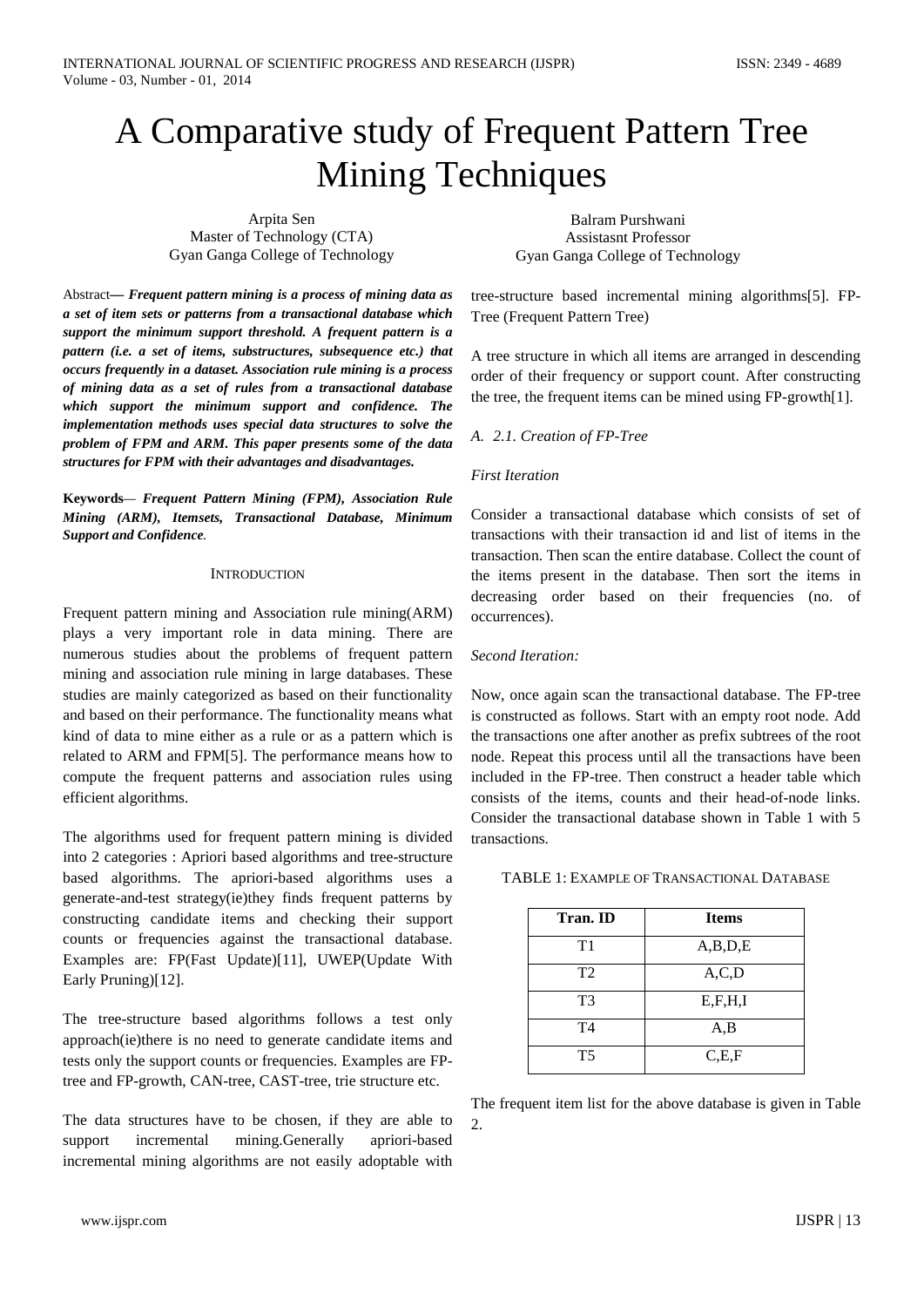# A Comparative study of Frequent Pattern Tree Mining Techniques

Arpita Sen Master of Technology (CTA) Gyan Ganga College of Technology

Abstract*— Frequent pattern mining is a process of mining data as a set of item sets or patterns from a transactional database which support the minimum support threshold. A frequent pattern is a pattern (i.e. a set of items, substructures, subsequence etc.) that occurs frequently in a dataset. Association rule mining is a process of mining data as a set of rules from a transactional database which support the minimum support and confidence. The implementation methods uses special data structures to solve the problem of FPM and ARM. This paper presents some of the data structures for FPM with their advantages and disadvantages.*

**Keywords***— Frequent Pattern Mining (FPM), Association Rule Mining (ARM), Itemsets, Transactional Database, Minimum Support and Confidence.* 

#### **INTRODUCTION**

Frequent pattern mining and Association rule mining(ARM) plays a very important role in data mining. There are numerous studies about the problems of frequent pattern mining and association rule mining in large databases. These studies are mainly categorized as based on their functionality and based on their performance. The functionality means what kind of data to mine either as a rule or as a pattern which is related to ARM and FPM[5]. The performance means how to compute the frequent patterns and association rules using efficient algorithms.

The algorithms used for frequent pattern mining is divided into 2 categories : Apriori based algorithms and tree-structure based algorithms. The apriori-based algorithms uses a generate-and-test strategy(ie)they finds frequent patterns by constructing candidate items and checking their support counts or frequencies against the transactional database. Examples are: FP(Fast Update)[11], UWEP(Update With Early Pruning)[12].

The tree-structure based algorithms follows a test only approach(ie)there is no need to generate candidate items and tests only the support counts or frequencies. Examples are FPtree and FP-growth, CAN-tree, CAST-tree, trie structure etc.

The data structures have to be chosen, if they are able to support incremental mining.Generally apriori-based incremental mining algorithms are not easily adoptable with

Balram Purshwani Assistasnt Professor Gyan Ganga College of Technology

tree-structure based incremental mining algorithms[5]. FP-Tree (Frequent Pattern Tree)

A tree structure in which all items are arranged in descending order of their frequency or support count. After constructing the tree, the frequent items can be mined using FP-growth[1].

#### *A. 2.1. Creation of FP-Tree*

#### *First Iteration*

Consider a transactional database which consists of set of transactions with their transaction id and list of items in the transaction. Then scan the entire database. Collect the count of the items present in the database. Then sort the items in decreasing order based on their frequencies (no. of occurrences).

#### *Second Iteration:*

Now, once again scan the transactional database. The FP-tree is constructed as follows. Start with an empty root node. Add the transactions one after another as prefix subtrees of the root node. Repeat this process until all the transactions have been included in the FP-tree. Then construct a header table which consists of the items, counts and their head-of-node links. Consider the transactional database shown in Table 1 with 5 transactions.

|  | TABLE 1: EXAMPLE OF TRANSACTIONAL DATABASE |
|--|--------------------------------------------|
|--|--------------------------------------------|

| Tran. ID       | <b>Items</b> |
|----------------|--------------|
| T1             | A,B,D,E      |
| T <sub>2</sub> | A, C, D      |
| T <sub>3</sub> | E, F, H, I   |
| T <sub>4</sub> | A,B          |
| T <sub>5</sub> | C, E, F      |

The frequent item list for the above database is given in Table 2.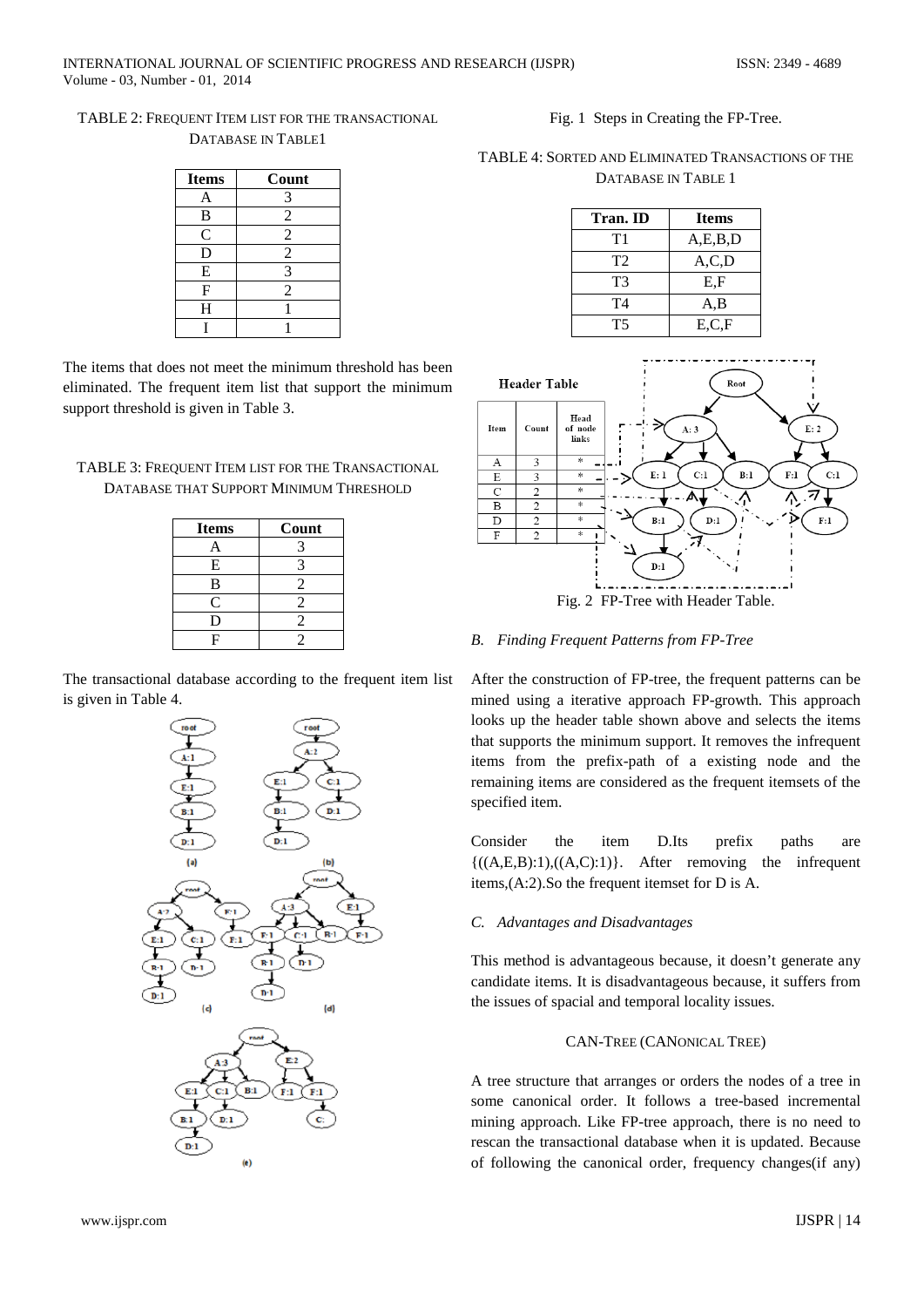TABLE 2: FREQUENT ITEM LIST FOR THE TRANSACTIONAL DATABASE IN TABLE1

| <b>Items</b>   | Count          |
|----------------|----------------|
| A              | 3              |
| B              | $\overline{2}$ |
| $\overline{C}$ | $\overline{2}$ |
| D              | $\overline{2}$ |
| E              | 3              |
| F              | $\overline{c}$ |
| H              |                |
|                |                |

The items that does not meet the minimum threshold has been eliminated. The frequent item list that support the minimum support threshold is given in Table 3.

# TABLE 3: FREQUENT ITEM LIST FOR THE TRANSACTIONAL DATABASE THAT SUPPORT MINIMUM THRESHOLD

| <b>Items</b> | Count          |
|--------------|----------------|
| А            | 3              |
| E            | 3              |
| B            | 2              |
| C            | 2              |
| D            | $\mathfrak{D}$ |
| F            | 2              |

The transactional database according to the frequent item list is given in Table 4.



Fig. 1 Steps in Creating the FP-Tree.

TABLE 4: SORTED AND ELIMINATED TRANSACTIONS OF THE DATABASE IN TABLE 1

| Tran. ID       | <b>Items</b> |
|----------------|--------------|
| T1             | A, E, B, D   |
| T <sub>2</sub> | A, C, D      |
| T3             | E.F          |
| T4             | A.B          |
| <b>T5</b>      | E.C.F        |



# *B. Finding Frequent Patterns from FP-Tree*

After the construction of FP-tree, the frequent patterns can be mined using a iterative approach FP-growth. This approach looks up the header table shown above and selects the items that supports the minimum support. It removes the infrequent items from the prefix-path of a existing node and the remaining items are considered as the frequent itemsets of the specified item.

Consider the item D.Its prefix paths are  $\{(A, E, B):1\}, \{(A, C):1\}$ . After removing the infrequent items,(A:2).So the frequent itemset for D is A.

# *C. Advantages and Disadvantages*

This method is advantageous because, it doesn't generate any candidate items. It is disadvantageous because, it suffers from the issues of spacial and temporal locality issues.

# CAN-TREE (CANONICAL TREE)

A tree structure that arranges or orders the nodes of a tree in some canonical order. It follows a tree-based incremental mining approach. Like FP-tree approach, there is no need to rescan the transactional database when it is updated. Because of following the canonical order, frequency changes(if any)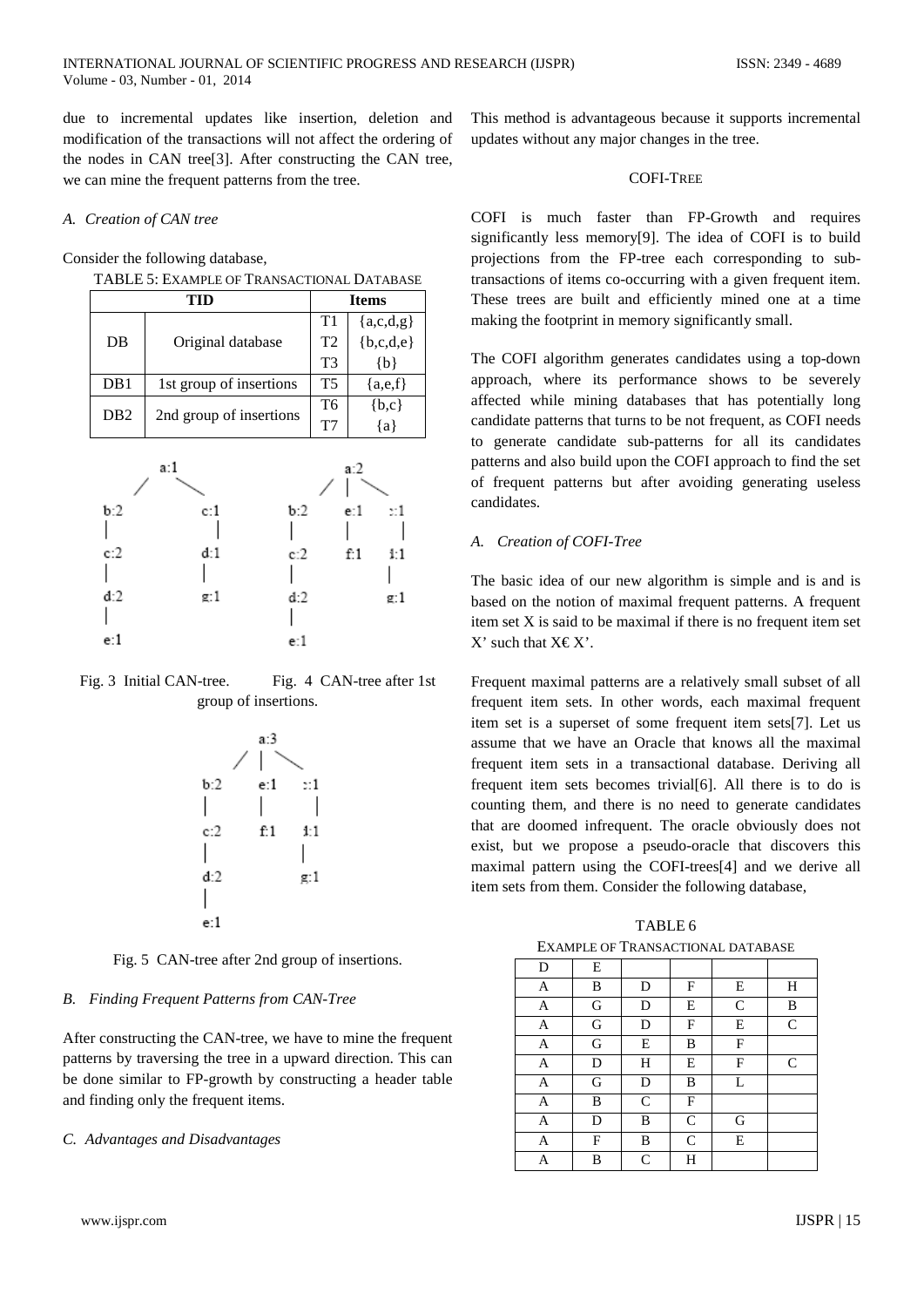due to incremental updates like insertion, deletion and modification of the transactions will not affect the ordering of the nodes in CAN tree[3]. After constructing the CAN tree, we can mine the frequent patterns from the tree.

#### *A. Creation of CAN tree*

Consider the following database,

| тн              |                         | <b>Items</b>   |                |
|-----------------|-------------------------|----------------|----------------|
|                 |                         | T1             | ${a,c,d,g}$    |
| DB              | Original database       | T <sub>2</sub> | ${b, c, d, e}$ |
|                 |                         | T <sup>3</sup> | ${b}$          |
| DB1             | 1st group of insertions | <b>T5</b>      | ${a,e,f}$      |
| DB <sub>2</sub> | 2nd group of insertions | T6             | ${b,c}$        |
|                 |                         | T7             | {a}            |



Fig. 3 Initial CAN-tree. Fig. 4 CAN-tree after 1st group of insertions.



Fig. 5 CAN-tree after 2nd group of insertions.

#### *B. Finding Frequent Patterns from CAN-Tree*

After constructing the CAN-tree, we have to mine the frequent patterns by traversing the tree in a upward direction. This can be done similar to FP-growth by constructing a header table and finding only the frequent items.

#### *C. Advantages and Disadvantages*

www.ijspr.com IJSPR | 15

This method is advantageous because it supports incremental updates without any major changes in the tree.

#### COFI-TREE

COFI is much faster than FP-Growth and requires significantly less memory[9]. The idea of COFI is to build projections from the FP-tree each corresponding to subtransactions of items co-occurring with a given frequent item. These trees are built and efficiently mined one at a time making the footprint in memory significantly small.

The COFI algorithm generates candidates using a top-down approach, where its performance shows to be severely affected while mining databases that has potentially long candidate patterns that turns to be not frequent, as COFI needs to generate candidate sub-patterns for all its candidates patterns and also build upon the COFI approach to find the set of frequent patterns but after avoiding generating useless candidates.

#### *A. Creation of COFI-Tree*

The basic idea of our new algorithm is simple and is and is based on the notion of maximal frequent patterns. A frequent item set X is said to be maximal if there is no frequent item set X' such that  $X \in X'$ .

Frequent maximal patterns are a relatively small subset of all frequent item sets. In other words, each maximal frequent item set is a superset of some frequent item sets[7]. Let us assume that we have an Oracle that knows all the maximal frequent item sets in a transactional database. Deriving all frequent item sets becomes trivial[6]. All there is to do is counting them, and there is no need to generate candidates that are doomed infrequent. The oracle obviously does not exist, but we propose a pseudo-oracle that discovers this maximal pattern using the COFI-trees[4] and we derive all item sets from them. Consider the following database,

TABLE 6 EXAMPLE OF TRANSACTIONAL DATABASE

| D | E |              |              |              |              |
|---|---|--------------|--------------|--------------|--------------|
| A | B | D            | F            | E            | H            |
| A | G | D            | Ε            | $\mathsf{C}$ | B            |
| A | G | D            | F            | E            | $\mathsf{C}$ |
| A | G | E            | B            | F            |              |
| A | D | H            | Ε            | F            | $\mathsf{C}$ |
| A | G | D            | B            | L            |              |
| A | B | $\mathsf{C}$ | F            |              |              |
| A | D | B            | $\mathsf{C}$ | G            |              |
| A | F | B            | $\mathsf{C}$ | E            |              |
| A | B | $\mathsf{C}$ | Н            |              |              |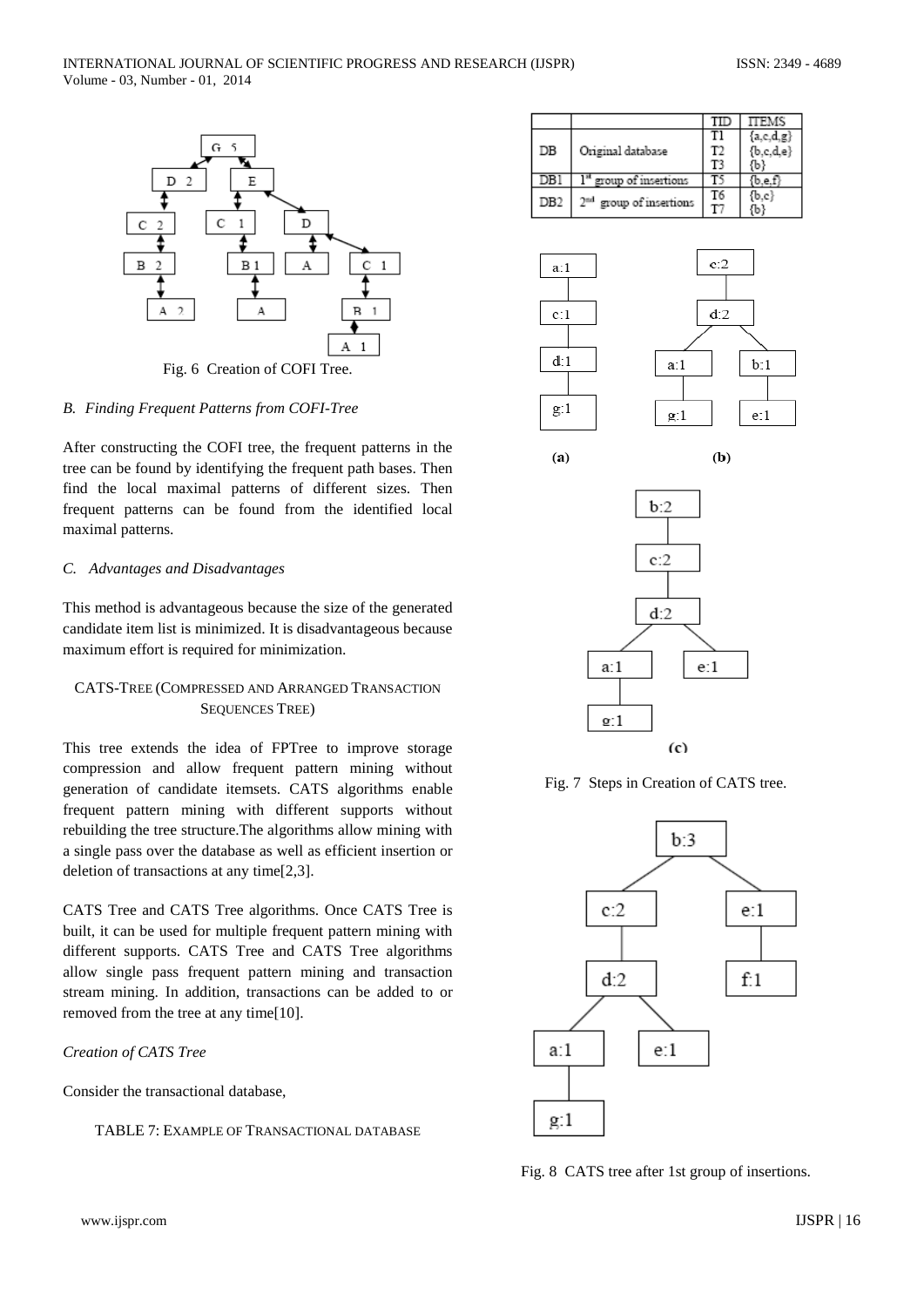

Fig. 6 Creation of COFI Tree.

#### *B. Finding Frequent Patterns from COFI-Tree*

After constructing the COFI tree, the frequent patterns in the tree can be found by identifying the frequent path bases. Then find the local maximal patterns of different sizes. Then frequent patterns can be found from the identified local maximal patterns.

#### *C. Advantages and Disadvantages*

This method is advantageous because the size of the generated candidate item list is minimized. It is disadvantageous because maximum effort is required for minimization.

# CATS-TREE (COMPRESSED AND ARRANGED TRANSACTION SEQUENCES TREE)

This tree extends the idea of FPTree to improve storage compression and allow frequent pattern mining without generation of candidate itemsets. CATS algorithms enable frequent pattern mining with different supports without rebuilding the tree structure.The algorithms allow mining with a single pass over the database as well as efficient insertion or deletion of transactions at any time[2,3].

CATS Tree and CATS Tree algorithms. Once CATS Tree is built, it can be used for multiple frequent pattern mining with different supports. CATS Tree and CATS Tree algorithms allow single pass frequent pattern mining and transaction stream mining. In addition, transactions can be added to or removed from the tree at any time[10].

## *Creation of CATS Tree*

Consider the transactional database,

TABLE 7: EXAMPLE OF TRANSACTIONAL DATABASE

|                 |                                     | TID | <b>TTEMS</b> |
|-----------------|-------------------------------------|-----|--------------|
|                 |                                     |     | ${a,c,d,g}$  |
| DB              | Original database                   | T2  | ${b,c,d,e}$  |
|                 |                                     | T3  |              |
| DB1             | " group of insertions               |     |              |
| DB <sub>2</sub> | 2 <sup>nd</sup> group of insertions | T6  | (b.c         |
|                 |                                     |     |              |







 $(a)$ 



 $\left( c \right)$ 



Fig. 8 CATS tree after 1st group of insertions.